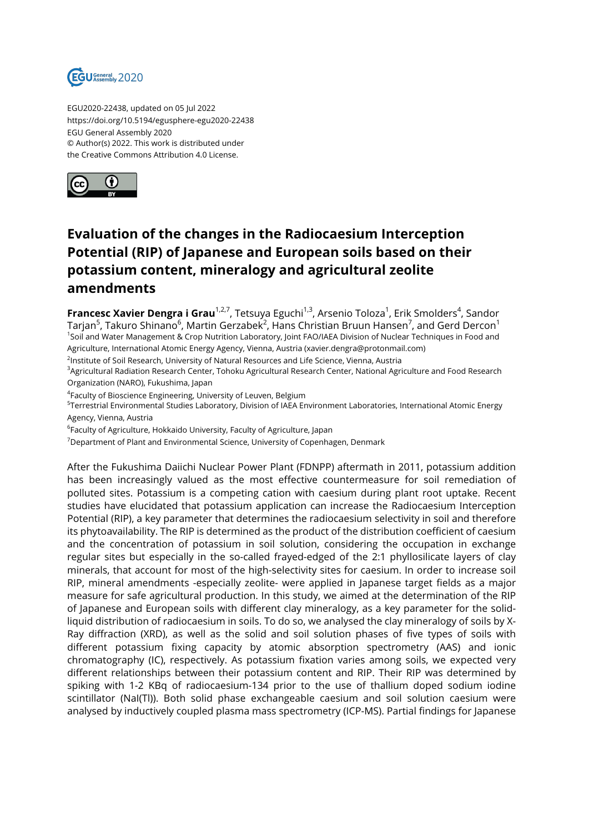

EGU2020-22438, updated on 05 Jul 2022 https://doi.org/10.5194/egusphere-egu2020-22438 EGU General Assembly 2020 © Author(s) 2022. This work is distributed under the Creative Commons Attribution 4.0 License.



## **Evaluation of the changes in the Radiocaesium Interception Potential (RIP) of Japanese and European soils based on their potassium content, mineralogy and agricultural zeolite amendments**

**Francesc Xavier Dengra i Grau**<sup>1,2,7</sup>, Tetsuya Eguchi<sup>1,3</sup>, Arsenio Toloza<sup>1</sup>, Erik Smolders<sup>4</sup>, Sandor Tarjan $^5$ , Takuro Shinano $^6$ , Martin Gerzabek $^2$ , Hans Christian Bruun Hansen $^7$ , and Gerd Dercon $^1$ 1 Soil and Water Management & Crop Nutrition Laboratory, Joint FAO/IAEA Division of Nuclear Techniques in Food and Agriculture, International Atomic Energy Agency, Vienna, Austria (xavier.dengra@protonmail.com)

<sup>2</sup>lnstitute of Soil Research, University of Natural Resources and Life Science, Vienna, Austria

<sup>3</sup>Agricultural Radiation Research Center, Tohoku Agricultural Research Center, National Agriculture and Food Research Organization (NARO), Fukushima, Japan

4 Faculty of Bioscience Engineering, University of Leuven, Belgium

<sup>5</sup>Terrestrial Environmental Studies Laboratory, Division of IAEA Environment Laboratories, International Atomic Energy Agency, Vienna, Austria

 $^6$ Faculty of Agriculture, Hokkaido University, Faculty of Agriculture, Japan

 $7$ Department of Plant and Environmental Science, University of Copenhagen, Denmark

After the Fukushima Daiichi Nuclear Power Plant (FDNPP) aftermath in 2011, potassium addition has been increasingly valued as the most effective countermeasure for soil remediation of polluted sites. Potassium is a competing cation with caesium during plant root uptake. Recent studies have elucidated that potassium application can increase the Radiocaesium Interception Potential (RIP), a key parameter that determines the radiocaesium selectivity in soil and therefore its phytoavailability. The RIP is determined as the product of the distribution coefficient of caesium and the concentration of potassium in soil solution, considering the occupation in exchange regular sites but especially in the so-called frayed-edged of the 2:1 phyllosilicate layers of clay minerals, that account for most of the high-selectivity sites for caesium. In order to increase soil RIP, mineral amendments -especially zeolite- were applied in Japanese target fields as a major measure for safe agricultural production. In this study, we aimed at the determination of the RIP of Japanese and European soils with different clay mineralogy, as a key parameter for the solidliquid distribution of radiocaesium in soils. To do so, we analysed the clay mineralogy of soils by X-Ray diffraction (XRD), as well as the solid and soil solution phases of five types of soils with different potassium fixing capacity by atomic absorption spectrometry (AAS) and ionic chromatography (IC), respectively. As potassium fixation varies among soils, we expected very different relationships between their potassium content and RIP. Their RIP was determined by spiking with 1-2 KBq of radiocaesium-134 prior to the use of thallium doped sodium iodine scintillator (NaI(Tl)). Both solid phase exchangeable caesium and soil solution caesium were analysed by inductively coupled plasma mass spectrometry (ICP-MS). Partial findings for Japanese